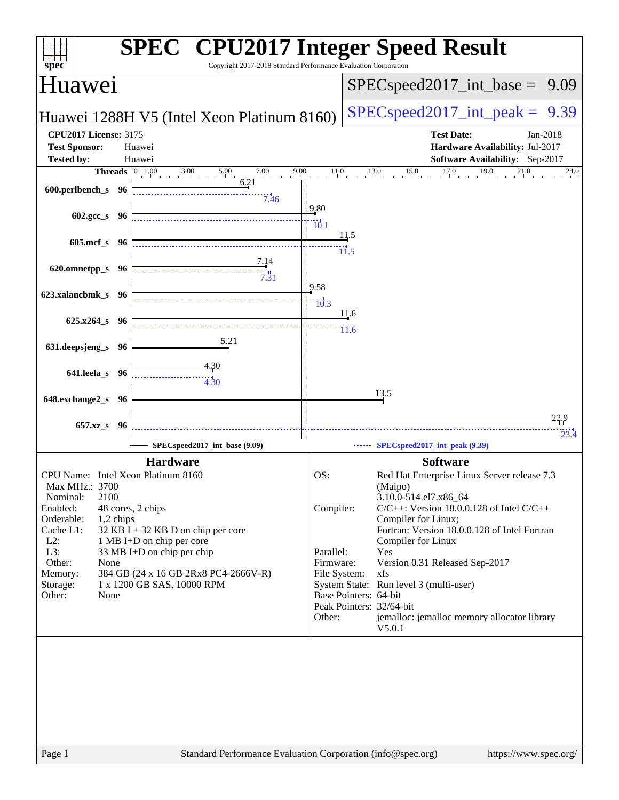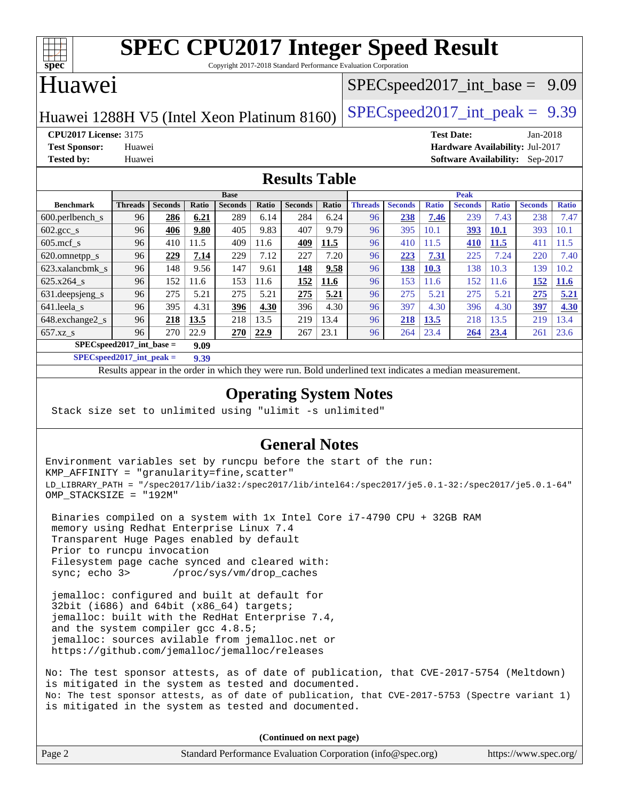

Copyright 2017-2018 Standard Performance Evaluation Corporation

## Huawei

#### $SPECspeed2017\_int\_base = 9.09$

Huawei 1288H V5 (Intel Xeon Platinum 8160)  $\left|$  [SPECspeed2017\\_int\\_peak =](http://www.spec.org/auto/cpu2017/Docs/result-fields.html#SPECspeed2017intpeak) 9.39

**[CPU2017 License:](http://www.spec.org/auto/cpu2017/Docs/result-fields.html#CPU2017License)** 3175 **[Test Date:](http://www.spec.org/auto/cpu2017/Docs/result-fields.html#TestDate)** Jan-2018 **[Test Sponsor:](http://www.spec.org/auto/cpu2017/Docs/result-fields.html#TestSponsor)** Huawei **[Hardware Availability:](http://www.spec.org/auto/cpu2017/Docs/result-fields.html#HardwareAvailability)** Jul-2017 **[Tested by:](http://www.spec.org/auto/cpu2017/Docs/result-fields.html#Testedby)** Huawei **[Software Availability:](http://www.spec.org/auto/cpu2017/Docs/result-fields.html#SoftwareAvailability)** Sep-2017

#### **[Results Table](http://www.spec.org/auto/cpu2017/Docs/result-fields.html#ResultsTable)**

|                                    | <b>Base</b>    |                |       |                |       | <b>Peak</b>    |       |                |                |              |                |              |                |              |
|------------------------------------|----------------|----------------|-------|----------------|-------|----------------|-------|----------------|----------------|--------------|----------------|--------------|----------------|--------------|
| <b>Benchmark</b>                   | <b>Threads</b> | <b>Seconds</b> | Ratio | <b>Seconds</b> | Ratio | <b>Seconds</b> | Ratio | <b>Threads</b> | <b>Seconds</b> | <b>Ratio</b> | <b>Seconds</b> | <b>Ratio</b> | <b>Seconds</b> | <b>Ratio</b> |
| $600.$ perlbench $\mathsf{S}$      | 96             | 286            | 6.21  | 289            | 6.14  | 284            | 6.24  | 96             | 238            | 7.46         | 239            | 7.43         | 238            | 7.47         |
| $602.\text{gcc}\_\text{s}$         | 96             | 406            | 9.80  | 405            | 9.83  | 407            | 9.79  | 96             | 395            | 10.1         | 393            | <b>10.1</b>  | 393            | 10.1         |
| $605$ .mcf s                       | 96             | 410            | 11.5  | 409            | 11.6  | 409            | 11.5  | 96             | 410            | 11.5         | 410            | 11.5         | 411            | 11.5         |
| 620.omnetpp_s                      | 96             | 229            | 7.14  | 229            | 7.12  | 227            | 7.20  | 96             | 223            | 7.31         | 225            | 7.24         | 220            | 7.40         |
| 623.xalancbmk s                    | 96             | 148            | 9.56  | 147            | 9.61  | 148            | 9.58  | 96             | 138            | 10.3         | 138            | 10.3         | 139            | 10.2         |
| 625.x264 s                         | 96             | 152            | 11.6  | 153            | 11.6  | 152            | 11.6  | 96             | 153            | 11.6         | 152            | 11.6         | 152            | 11.6         |
| 631.deepsjeng_s                    | 96             | 275            | 5.21  | 275            | 5.21  | 275            | 5.21  | 96             | 275            | 5.21         | 275            | 5.21         | 275            | 5.21         |
| 641.leela s                        | 96             | 395            | 4.31  | 396            | 4.30  | 396            | 4.30  | 96             | 397            | 4.30         | 396            | 4.30         | 397            | 4.30         |
| 648.exchange2_s                    | 96             | 218            | 13.5  | 218            | 13.5  | 219            | 13.4  | 96             | 218            | 13.5         | 218            | 13.5         | 219            | 13.4         |
| $657.xz$ s                         | 96             | 270            | 22.9  | 270            | 22.9  | 267            | 23.1  | 96             | 264            | 23.4         | 264            | 23.4         | 261            | 23.6         |
| $SPECspeed2017$ int base =<br>9.09 |                |                |       |                |       |                |       |                |                |              |                |              |                |              |

**[SPECspeed2017\\_int\\_peak =](http://www.spec.org/auto/cpu2017/Docs/result-fields.html#SPECspeed2017intpeak) 9.39**

Results appear in the [order in which they were run.](http://www.spec.org/auto/cpu2017/Docs/result-fields.html#RunOrder) Bold underlined text [indicates a median measurement](http://www.spec.org/auto/cpu2017/Docs/result-fields.html#Median).

#### **[Operating System Notes](http://www.spec.org/auto/cpu2017/Docs/result-fields.html#OperatingSystemNotes)**

Stack size set to unlimited using "ulimit -s unlimited"

### **[General Notes](http://www.spec.org/auto/cpu2017/Docs/result-fields.html#GeneralNotes)**

Environment variables set by runcpu before the start of the run: KMP\_AFFINITY = "granularity=fine,scatter" LD\_LIBRARY\_PATH = "/spec2017/lib/ia32:/spec2017/lib/intel64:/spec2017/je5.0.1-32:/spec2017/je5.0.1-64" OMP\_STACKSIZE = "192M"

 Binaries compiled on a system with 1x Intel Core i7-4790 CPU + 32GB RAM memory using Redhat Enterprise Linux 7.4 Transparent Huge Pages enabled by default Prior to runcpu invocation Filesystem page cache synced and cleared with: sync; echo 3> /proc/sys/vm/drop\_caches

 jemalloc: configured and built at default for 32bit (i686) and 64bit (x86\_64) targets; jemalloc: built with the RedHat Enterprise 7.4, and the system compiler gcc 4.8.5; jemalloc: sources avilable from jemalloc.net or <https://github.com/jemalloc/jemalloc/releases>

No: The test sponsor attests, as of date of publication, that CVE-2017-5754 (Meltdown) is mitigated in the system as tested and documented. No: The test sponsor attests, as of date of publication, that CVE-2017-5753 (Spectre variant 1) is mitigated in the system as tested and documented.

**(Continued on next page)**

| Page 2 | Standard Performance Evaluation Corporation (info@spec.org) | https://www.spec.org/ |
|--------|-------------------------------------------------------------|-----------------------|
|        |                                                             |                       |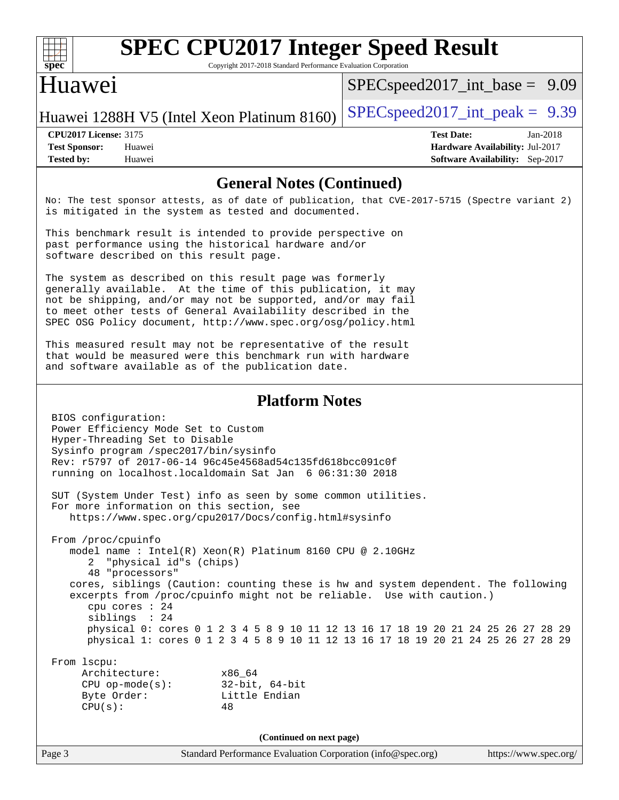

Copyright 2017-2018 Standard Performance Evaluation Corporation

## Huawei

[SPECspeed2017\\_int\\_base =](http://www.spec.org/auto/cpu2017/Docs/result-fields.html#SPECspeed2017intbase) 9.09

Huawei 1288H V5 (Intel Xeon Platinum 8160) [SPECspeed2017\\_int\\_peak =](http://www.spec.org/auto/cpu2017/Docs/result-fields.html#SPECspeed2017intpeak)  $9.39$ 

**[Tested by:](http://www.spec.org/auto/cpu2017/Docs/result-fields.html#Testedby)** Huawei **[Software Availability:](http://www.spec.org/auto/cpu2017/Docs/result-fields.html#SoftwareAvailability)** Sep-2017

**[CPU2017 License:](http://www.spec.org/auto/cpu2017/Docs/result-fields.html#CPU2017License)** 3175 **[Test Date:](http://www.spec.org/auto/cpu2017/Docs/result-fields.html#TestDate)** Jan-2018 **[Test Sponsor:](http://www.spec.org/auto/cpu2017/Docs/result-fields.html#TestSponsor)** Huawei **[Hardware Availability:](http://www.spec.org/auto/cpu2017/Docs/result-fields.html#HardwareAvailability)** Jul-2017

#### **[General Notes \(Continued\)](http://www.spec.org/auto/cpu2017/Docs/result-fields.html#GeneralNotes)**

No: The test sponsor attests, as of date of publication, that CVE-2017-5715 (Spectre variant 2) is mitigated in the system as tested and documented.

This benchmark result is intended to provide perspective on past performance using the historical hardware and/or software described on this result page.

The system as described on this result page was formerly generally available. At the time of this publication, it may not be shipping, and/or may not be supported, and/or may fail to meet other tests of General Availability described in the SPEC OSG Policy document, <http://www.spec.org/osg/policy.html>

This measured result may not be representative of the result that would be measured were this benchmark run with hardware and software available as of the publication date.

#### **[Platform Notes](http://www.spec.org/auto/cpu2017/Docs/result-fields.html#PlatformNotes)**

| BIOS configuration:<br>Power Efficiency Mode Set to Custom |                                                                                                                                                             |
|------------------------------------------------------------|-------------------------------------------------------------------------------------------------------------------------------------------------------------|
| Hyper-Threading Set to Disable                             |                                                                                                                                                             |
| Sysinfo program /spec2017/bin/sysinfo                      |                                                                                                                                                             |
|                                                            | Rev: r5797 of 2017-06-14 96c45e4568ad54c135fd618bcc091c0f                                                                                                   |
|                                                            | running on localhost. localdomain Sat Jan 6 06:31:30 2018                                                                                                   |
|                                                            | SUT (System Under Test) info as seen by some common utilities.                                                                                              |
| For more information on this section, see                  |                                                                                                                                                             |
|                                                            | https://www.spec.org/cpu2017/Docs/config.html#sysinfo                                                                                                       |
| From /proc/cpuinfo                                         |                                                                                                                                                             |
|                                                            | model name: $Intel(R)$ Xeon(R) Platinum 8160 CPU @ 2.10GHz                                                                                                  |
| 2 "physical id"s (chips)                                   |                                                                                                                                                             |
| 48 "processors"                                            |                                                                                                                                                             |
|                                                            | cores, siblings (Caution: counting these is hw and system dependent. The following<br>excerpts from /proc/cpuinfo might not be reliable. Use with caution.) |
| cpu cores $: 24$                                           |                                                                                                                                                             |
| sibling: 24                                                |                                                                                                                                                             |
|                                                            | physical 0: cores 0 1 2 3 4 5 8 9 10 11 12 13 16 17 18 19 20 21 24 25 26 27 28 29                                                                           |
|                                                            | physical 1: cores 0 1 2 3 4 5 8 9 10 11 12 13 16 17 18 19 20 21 24 25 26 27 28 29                                                                           |
| From 1scpu:                                                |                                                                                                                                                             |
| Architecture:                                              | x86 64                                                                                                                                                      |
| $CPU op-mode(s):$                                          | 32-bit, 64-bit                                                                                                                                              |
| Byte Order:                                                | Little Endian                                                                                                                                               |
| CPU(s):                                                    | 48                                                                                                                                                          |
|                                                            | (Continued on next page)                                                                                                                                    |
| Page 3                                                     | Standard Performance Evaluation Corporation (info@spec.org)<br>https://www.spec.org/                                                                        |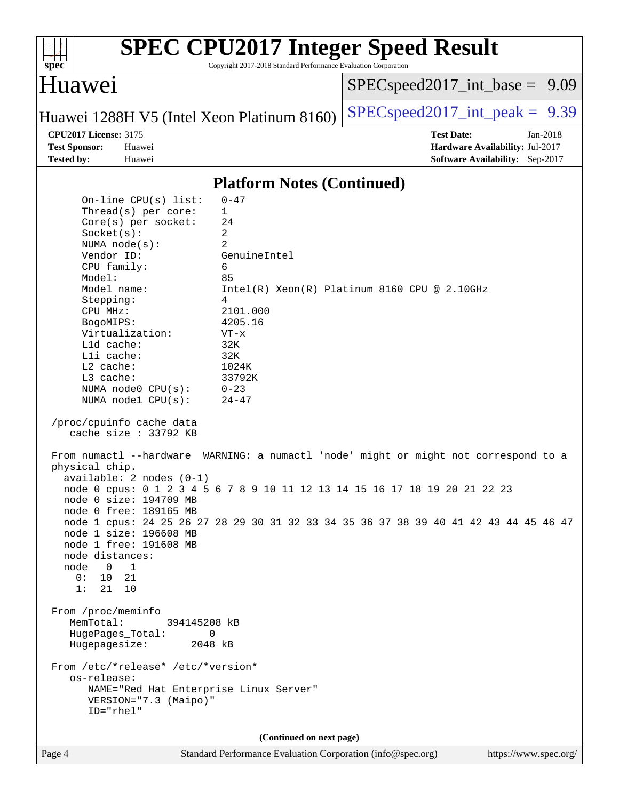

Copyright 2017-2018 Standard Performance Evaluation Corporation

### Huawei

[SPECspeed2017\\_int\\_base =](http://www.spec.org/auto/cpu2017/Docs/result-fields.html#SPECspeed2017intbase) 9.09

Huawei 1288H V5 (Intel Xeon Platinum 8160) [SPECspeed2017\\_int\\_peak =](http://www.spec.org/auto/cpu2017/Docs/result-fields.html#SPECspeed2017intpeak)  $9.39$ 

**[CPU2017 License:](http://www.spec.org/auto/cpu2017/Docs/result-fields.html#CPU2017License)** 3175 **[Test Date:](http://www.spec.org/auto/cpu2017/Docs/result-fields.html#TestDate)** Jan-2018 **[Test Sponsor:](http://www.spec.org/auto/cpu2017/Docs/result-fields.html#TestSponsor)** Huawei **[Hardware Availability:](http://www.spec.org/auto/cpu2017/Docs/result-fields.html#HardwareAvailability)** Jul-2017 **[Tested by:](http://www.spec.org/auto/cpu2017/Docs/result-fields.html#Testedby)** Huawei **[Software Availability:](http://www.spec.org/auto/cpu2017/Docs/result-fields.html#SoftwareAvailability)** Sep-2017

#### **[Platform Notes \(Continued\)](http://www.spec.org/auto/cpu2017/Docs/result-fields.html#PlatformNotes)**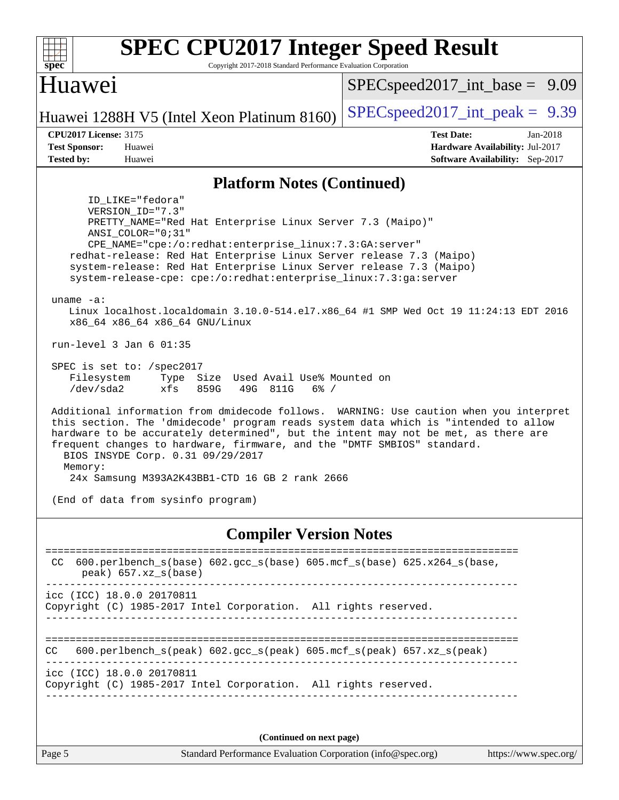| <b>SPEC CPU2017 Integer Speed Result</b><br>Copyright 2017-2018 Standard Performance Evaluation Corporation<br>$spec^*$                                                                                                                                                                                                                                                                                                                                                                                                                                                                                                                                                                                                                                                                                                                                                                                                                                                                                                                                                                                                                                                                                       |                                                                                                     |
|---------------------------------------------------------------------------------------------------------------------------------------------------------------------------------------------------------------------------------------------------------------------------------------------------------------------------------------------------------------------------------------------------------------------------------------------------------------------------------------------------------------------------------------------------------------------------------------------------------------------------------------------------------------------------------------------------------------------------------------------------------------------------------------------------------------------------------------------------------------------------------------------------------------------------------------------------------------------------------------------------------------------------------------------------------------------------------------------------------------------------------------------------------------------------------------------------------------|-----------------------------------------------------------------------------------------------------|
| Huawei                                                                                                                                                                                                                                                                                                                                                                                                                                                                                                                                                                                                                                                                                                                                                                                                                                                                                                                                                                                                                                                                                                                                                                                                        | $SPEC speed2017\_int\_base = 9.09$                                                                  |
| Huawei 1288H V5 (Intel Xeon Platinum 8160)                                                                                                                                                                                                                                                                                                                                                                                                                                                                                                                                                                                                                                                                                                                                                                                                                                                                                                                                                                                                                                                                                                                                                                    | $SPEC speed2017\_int\_peak = 9.39$                                                                  |
| <b>CPU2017 License: 3175</b><br><b>Test Sponsor:</b><br>Huawei<br><b>Tested by:</b><br>Huawei                                                                                                                                                                                                                                                                                                                                                                                                                                                                                                                                                                                                                                                                                                                                                                                                                                                                                                                                                                                                                                                                                                                 | <b>Test Date:</b><br>Jan-2018<br>Hardware Availability: Jul-2017<br>Software Availability: Sep-2017 |
| <b>Platform Notes (Continued)</b>                                                                                                                                                                                                                                                                                                                                                                                                                                                                                                                                                                                                                                                                                                                                                                                                                                                                                                                                                                                                                                                                                                                                                                             |                                                                                                     |
| ID_LIKE="fedora"<br>VERSION_ID="7.3"<br>PRETTY_NAME="Red Hat Enterprise Linux Server 7.3 (Maipo)"<br>ANSI COLOR="0;31"<br>CPE_NAME="cpe:/o:redhat:enterprise_linux:7.3:GA:server"<br>redhat-release: Red Hat Enterprise Linux Server release 7.3 (Maipo)<br>system-release: Red Hat Enterprise Linux Server release 7.3 (Maipo)<br>system-release-cpe: cpe:/o:redhat:enterprise_linux:7.3:ga:server<br>uname $-a$ :<br>Linux localhost.localdomain 3.10.0-514.el7.x86_64 #1 SMP Wed Oct 19 11:24:13 EDT 2016<br>x86_64 x86_64 x86_64 GNU/Linux<br>run-level $3$ Jan $6$ 01:35<br>SPEC is set to: /spec2017<br>Filesystem<br>Type Size Used Avail Use% Mounted on<br>859G<br>/dev/sda2<br>49G 811G<br>$6\%$ /<br>xfs<br>Additional information from dmidecode follows. WARNING: Use caution when you interpret<br>this section. The 'dmidecode' program reads system data which is "intended to allow<br>hardware to be accurately determined", but the intent may not be met, as there are<br>frequent changes to hardware, firmware, and the "DMTF SMBIOS" standard.<br>BIOS INSYDE Corp. 0.31 09/29/2017<br>Memory:<br>24x Samsung M393A2K43BB1-CTD 16 GB 2 rank 2666<br>(End of data from sysinfo program) |                                                                                                     |
| <b>Compiler Version Notes</b>                                                                                                                                                                                                                                                                                                                                                                                                                                                                                                                                                                                                                                                                                                                                                                                                                                                                                                                                                                                                                                                                                                                                                                                 |                                                                                                     |
| 600.perlbench_s(base) 602.gcc_s(base) 605.mcf_s(base) 625.x264_s(base,<br>CC.<br>$peak)$ 657.xz_s(base)                                                                                                                                                                                                                                                                                                                                                                                                                                                                                                                                                                                                                                                                                                                                                                                                                                                                                                                                                                                                                                                                                                       | ___________________________________                                                                 |
| icc (ICC) 18.0.0 20170811<br>Copyright (C) 1985-2017 Intel Corporation. All rights reserved.                                                                                                                                                                                                                                                                                                                                                                                                                                                                                                                                                                                                                                                                                                                                                                                                                                                                                                                                                                                                                                                                                                                  |                                                                                                     |
| $600. perlbench_s (peak) 602. gcc_s (peak) 605. mcf_s (peak) 657. xz_s (peak)$<br>CC.                                                                                                                                                                                                                                                                                                                                                                                                                                                                                                                                                                                                                                                                                                                                                                                                                                                                                                                                                                                                                                                                                                                         |                                                                                                     |
| icc (ICC) 18.0.0 20170811<br>Copyright (C) 1985-2017 Intel Corporation. All rights reserved.                                                                                                                                                                                                                                                                                                                                                                                                                                                                                                                                                                                                                                                                                                                                                                                                                                                                                                                                                                                                                                                                                                                  |                                                                                                     |
|                                                                                                                                                                                                                                                                                                                                                                                                                                                                                                                                                                                                                                                                                                                                                                                                                                                                                                                                                                                                                                                                                                                                                                                                               |                                                                                                     |

**(Continued on next page)**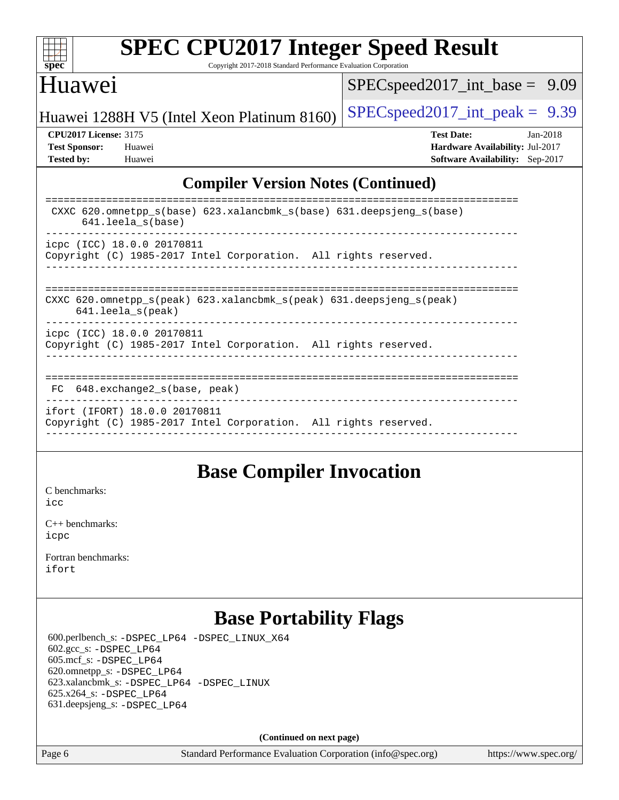

Copyright 2017-2018 Standard Performance Evaluation Corporation

### Huawei

[SPECspeed2017\\_int\\_base =](http://www.spec.org/auto/cpu2017/Docs/result-fields.html#SPECspeed2017intbase) 9.09

Huawei 1288H V5 (Intel Xeon Platinum 8160) [SPECspeed2017\\_int\\_peak =](http://www.spec.org/auto/cpu2017/Docs/result-fields.html#SPECspeed2017intpeak)  $9.39$ 

**[CPU2017 License:](http://www.spec.org/auto/cpu2017/Docs/result-fields.html#CPU2017License)** 3175 **[Test Date:](http://www.spec.org/auto/cpu2017/Docs/result-fields.html#TestDate)** Jan-2018 **[Test Sponsor:](http://www.spec.org/auto/cpu2017/Docs/result-fields.html#TestSponsor)** Huawei **[Hardware Availability:](http://www.spec.org/auto/cpu2017/Docs/result-fields.html#HardwareAvailability)** Jul-2017 **[Tested by:](http://www.spec.org/auto/cpu2017/Docs/result-fields.html#Testedby)** Huawei **[Software Availability:](http://www.spec.org/auto/cpu2017/Docs/result-fields.html#SoftwareAvailability)** Sep-2017

### **[Compiler Version Notes \(Continued\)](http://www.spec.org/auto/cpu2017/Docs/result-fields.html#CompilerVersionNotes)**

| CXXC 620.omnetpp $s(base)$ 623.xalancbmk $s(base)$ 631.deepsjeng $s(base)$<br>$641.$ leela $s$ (base)                      |
|----------------------------------------------------------------------------------------------------------------------------|
| icpc (ICC) 18.0.0 20170811<br>Copyright (C) 1985-2017 Intel Corporation. All rights reserved.                              |
| CXXC 620.omnetpp $s(\text{peak})$ 623.xalancbmk $s(\text{peak})$ 631.deepsjeng $s(\text{peak})$<br>$641.$ leela $s$ (peak) |
| icpc (ICC) 18.0.0 20170811<br>Copyright (C) 1985-2017 Intel Corporation. All rights reserved.                              |
| 648.exchange2 s(base, peak)<br>FC                                                                                          |
| ifort (IFORT) 18.0.0 20170811<br>Copyright (C) 1985-2017 Intel Corporation. All rights reserved.                           |

### **[Base Compiler Invocation](http://www.spec.org/auto/cpu2017/Docs/result-fields.html#BaseCompilerInvocation)**

[C benchmarks](http://www.spec.org/auto/cpu2017/Docs/result-fields.html#Cbenchmarks): [icc](http://www.spec.org/cpu2017/results/res2018q1/cpu2017-20180108-02496.flags.html#user_CCbase_intel_icc_18.0_66fc1ee009f7361af1fbd72ca7dcefbb700085f36577c54f309893dd4ec40d12360134090235512931783d35fd58c0460139e722d5067c5574d8eaf2b3e37e92)

[C++ benchmarks:](http://www.spec.org/auto/cpu2017/Docs/result-fields.html#CXXbenchmarks) [icpc](http://www.spec.org/cpu2017/results/res2018q1/cpu2017-20180108-02496.flags.html#user_CXXbase_intel_icpc_18.0_c510b6838c7f56d33e37e94d029a35b4a7bccf4766a728ee175e80a419847e808290a9b78be685c44ab727ea267ec2f070ec5dc83b407c0218cded6866a35d07)

[Fortran benchmarks](http://www.spec.org/auto/cpu2017/Docs/result-fields.html#Fortranbenchmarks): [ifort](http://www.spec.org/cpu2017/results/res2018q1/cpu2017-20180108-02496.flags.html#user_FCbase_intel_ifort_18.0_8111460550e3ca792625aed983ce982f94888b8b503583aa7ba2b8303487b4d8a21a13e7191a45c5fd58ff318f48f9492884d4413fa793fd88dd292cad7027ca)

# **[Base Portability Flags](http://www.spec.org/auto/cpu2017/Docs/result-fields.html#BasePortabilityFlags)**

 600.perlbench\_s: [-DSPEC\\_LP64](http://www.spec.org/cpu2017/results/res2018q1/cpu2017-20180108-02496.flags.html#b600.perlbench_s_basePORTABILITY_DSPEC_LP64) [-DSPEC\\_LINUX\\_X64](http://www.spec.org/cpu2017/results/res2018q1/cpu2017-20180108-02496.flags.html#b600.perlbench_s_baseCPORTABILITY_DSPEC_LINUX_X64) 602.gcc\_s: [-DSPEC\\_LP64](http://www.spec.org/cpu2017/results/res2018q1/cpu2017-20180108-02496.flags.html#suite_basePORTABILITY602_gcc_s_DSPEC_LP64) 605.mcf\_s: [-DSPEC\\_LP64](http://www.spec.org/cpu2017/results/res2018q1/cpu2017-20180108-02496.flags.html#suite_basePORTABILITY605_mcf_s_DSPEC_LP64) 620.omnetpp\_s: [-DSPEC\\_LP64](http://www.spec.org/cpu2017/results/res2018q1/cpu2017-20180108-02496.flags.html#suite_basePORTABILITY620_omnetpp_s_DSPEC_LP64) 623.xalancbmk\_s: [-DSPEC\\_LP64](http://www.spec.org/cpu2017/results/res2018q1/cpu2017-20180108-02496.flags.html#suite_basePORTABILITY623_xalancbmk_s_DSPEC_LP64) [-DSPEC\\_LINUX](http://www.spec.org/cpu2017/results/res2018q1/cpu2017-20180108-02496.flags.html#b623.xalancbmk_s_baseCXXPORTABILITY_DSPEC_LINUX) 625.x264\_s: [-DSPEC\\_LP64](http://www.spec.org/cpu2017/results/res2018q1/cpu2017-20180108-02496.flags.html#suite_basePORTABILITY625_x264_s_DSPEC_LP64) 631.deepsjeng\_s: [-DSPEC\\_LP64](http://www.spec.org/cpu2017/results/res2018q1/cpu2017-20180108-02496.flags.html#suite_basePORTABILITY631_deepsjeng_s_DSPEC_LP64)

**(Continued on next page)**

Page 6 Standard Performance Evaluation Corporation [\(info@spec.org\)](mailto:info@spec.org) <https://www.spec.org/>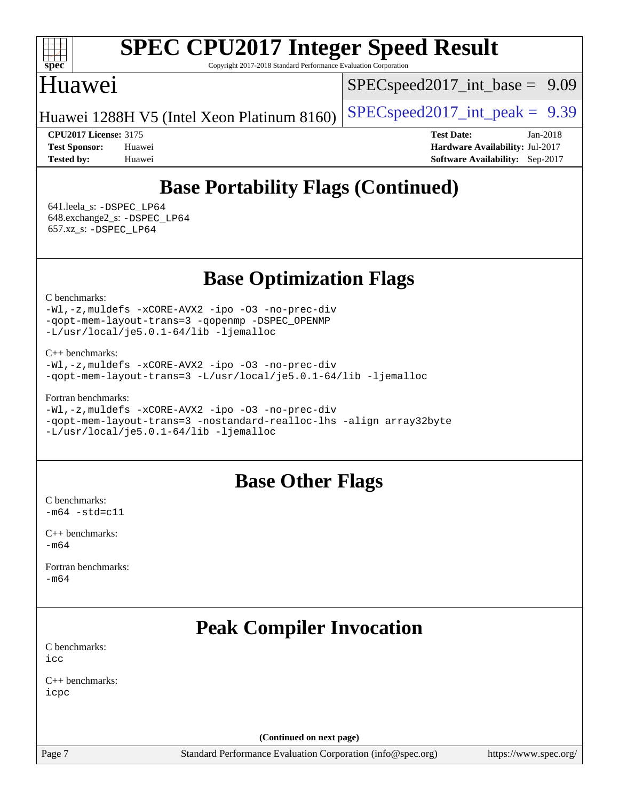

Copyright 2017-2018 Standard Performance Evaluation Corporation

## Huawei

 $SPECspeed2017\_int\_base = 9.09$ 

Huawei 1288H V5 (Intel Xeon Platinum 8160) [SPECspeed2017\\_int\\_peak =](http://www.spec.org/auto/cpu2017/Docs/result-fields.html#SPECspeed2017intpeak)  $9.39$ 

**[CPU2017 License:](http://www.spec.org/auto/cpu2017/Docs/result-fields.html#CPU2017License)** 3175 **[Test Date:](http://www.spec.org/auto/cpu2017/Docs/result-fields.html#TestDate)** Jan-2018 **[Test Sponsor:](http://www.spec.org/auto/cpu2017/Docs/result-fields.html#TestSponsor)** Huawei **[Hardware Availability:](http://www.spec.org/auto/cpu2017/Docs/result-fields.html#HardwareAvailability)** Jul-2017 **[Tested by:](http://www.spec.org/auto/cpu2017/Docs/result-fields.html#Testedby)** Huawei **[Software Availability:](http://www.spec.org/auto/cpu2017/Docs/result-fields.html#SoftwareAvailability)** Sep-2017

# **[Base Portability Flags \(Continued\)](http://www.spec.org/auto/cpu2017/Docs/result-fields.html#BasePortabilityFlags)**

 641.leela\_s: [-DSPEC\\_LP64](http://www.spec.org/cpu2017/results/res2018q1/cpu2017-20180108-02496.flags.html#suite_basePORTABILITY641_leela_s_DSPEC_LP64) 648.exchange2\_s: [-DSPEC\\_LP64](http://www.spec.org/cpu2017/results/res2018q1/cpu2017-20180108-02496.flags.html#suite_basePORTABILITY648_exchange2_s_DSPEC_LP64) 657.xz\_s: [-DSPEC\\_LP64](http://www.spec.org/cpu2017/results/res2018q1/cpu2017-20180108-02496.flags.html#suite_basePORTABILITY657_xz_s_DSPEC_LP64)

**[Base Optimization Flags](http://www.spec.org/auto/cpu2017/Docs/result-fields.html#BaseOptimizationFlags)**

[C benchmarks](http://www.spec.org/auto/cpu2017/Docs/result-fields.html#Cbenchmarks):

[-Wl,-z,muldefs](http://www.spec.org/cpu2017/results/res2018q1/cpu2017-20180108-02496.flags.html#user_CCbase_link_force_multiple1_b4cbdb97b34bdee9ceefcfe54f4c8ea74255f0b02a4b23e853cdb0e18eb4525ac79b5a88067c842dd0ee6996c24547a27a4b99331201badda8798ef8a743f577) [-xCORE-AVX2](http://www.spec.org/cpu2017/results/res2018q1/cpu2017-20180108-02496.flags.html#user_CCbase_f-xCORE-AVX2) [-ipo](http://www.spec.org/cpu2017/results/res2018q1/cpu2017-20180108-02496.flags.html#user_CCbase_f-ipo) [-O3](http://www.spec.org/cpu2017/results/res2018q1/cpu2017-20180108-02496.flags.html#user_CCbase_f-O3) [-no-prec-div](http://www.spec.org/cpu2017/results/res2018q1/cpu2017-20180108-02496.flags.html#user_CCbase_f-no-prec-div) [-qopt-mem-layout-trans=3](http://www.spec.org/cpu2017/results/res2018q1/cpu2017-20180108-02496.flags.html#user_CCbase_f-qopt-mem-layout-trans_de80db37974c74b1f0e20d883f0b675c88c3b01e9d123adea9b28688d64333345fb62bc4a798493513fdb68f60282f9a726aa07f478b2f7113531aecce732043) [-qopenmp](http://www.spec.org/cpu2017/results/res2018q1/cpu2017-20180108-02496.flags.html#user_CCbase_qopenmp_16be0c44f24f464004c6784a7acb94aca937f053568ce72f94b139a11c7c168634a55f6653758ddd83bcf7b8463e8028bb0b48b77bcddc6b78d5d95bb1df2967) [-DSPEC\\_OPENMP](http://www.spec.org/cpu2017/results/res2018q1/cpu2017-20180108-02496.flags.html#suite_CCbase_DSPEC_OPENMP) [-L/usr/local/je5.0.1-64/lib](http://www.spec.org/cpu2017/results/res2018q1/cpu2017-20180108-02496.flags.html#user_CCbase_jemalloc_link_path64_4b10a636b7bce113509b17f3bd0d6226c5fb2346b9178c2d0232c14f04ab830f976640479e5c33dc2bcbbdad86ecfb6634cbbd4418746f06f368b512fced5394) [-ljemalloc](http://www.spec.org/cpu2017/results/res2018q1/cpu2017-20180108-02496.flags.html#user_CCbase_jemalloc_link_lib_d1249b907c500fa1c0672f44f562e3d0f79738ae9e3c4a9c376d49f265a04b9c99b167ecedbf6711b3085be911c67ff61f150a17b3472be731631ba4d0471706)

[C++ benchmarks:](http://www.spec.org/auto/cpu2017/Docs/result-fields.html#CXXbenchmarks)

```
-Wl,-z,muldefs -xCORE-AVX2 -ipo -O3 -no-prec-div
-qopt-mem-layout-trans=3 -L/usr/local/je5.0.1-64/lib -ljemalloc
```
[Fortran benchmarks](http://www.spec.org/auto/cpu2017/Docs/result-fields.html#Fortranbenchmarks):

```
-Wl,-z,muldefs -xCORE-AVX2 -ipo -O3 -no-prec-div
-qopt-mem-layout-trans=3 -nostandard-realloc-lhs -align array32byte
-L/usr/local/je5.0.1-64/lib -ljemalloc
```
## **[Base Other Flags](http://www.spec.org/auto/cpu2017/Docs/result-fields.html#BaseOtherFlags)**

[C benchmarks](http://www.spec.org/auto/cpu2017/Docs/result-fields.html#Cbenchmarks):  $-m64 - std = c11$  $-m64 - std = c11$ 

[C++ benchmarks:](http://www.spec.org/auto/cpu2017/Docs/result-fields.html#CXXbenchmarks)  $-m64$ 

[Fortran benchmarks](http://www.spec.org/auto/cpu2017/Docs/result-fields.html#Fortranbenchmarks): [-m64](http://www.spec.org/cpu2017/results/res2018q1/cpu2017-20180108-02496.flags.html#user_FCbase_intel_intel64_18.0_af43caccfc8ded86e7699f2159af6efc7655f51387b94da716254467f3c01020a5059329e2569e4053f409e7c9202a7efc638f7a6d1ffb3f52dea4a3e31d82ab)

# **[Peak Compiler Invocation](http://www.spec.org/auto/cpu2017/Docs/result-fields.html#PeakCompilerInvocation)**

[C benchmarks](http://www.spec.org/auto/cpu2017/Docs/result-fields.html#Cbenchmarks): [icc](http://www.spec.org/cpu2017/results/res2018q1/cpu2017-20180108-02496.flags.html#user_CCpeak_intel_icc_18.0_66fc1ee009f7361af1fbd72ca7dcefbb700085f36577c54f309893dd4ec40d12360134090235512931783d35fd58c0460139e722d5067c5574d8eaf2b3e37e92)

[C++ benchmarks:](http://www.spec.org/auto/cpu2017/Docs/result-fields.html#CXXbenchmarks) [icpc](http://www.spec.org/cpu2017/results/res2018q1/cpu2017-20180108-02496.flags.html#user_CXXpeak_intel_icpc_18.0_c510b6838c7f56d33e37e94d029a35b4a7bccf4766a728ee175e80a419847e808290a9b78be685c44ab727ea267ec2f070ec5dc83b407c0218cded6866a35d07)

**(Continued on next page)**

Page 7 Standard Performance Evaluation Corporation [\(info@spec.org\)](mailto:info@spec.org) <https://www.spec.org/>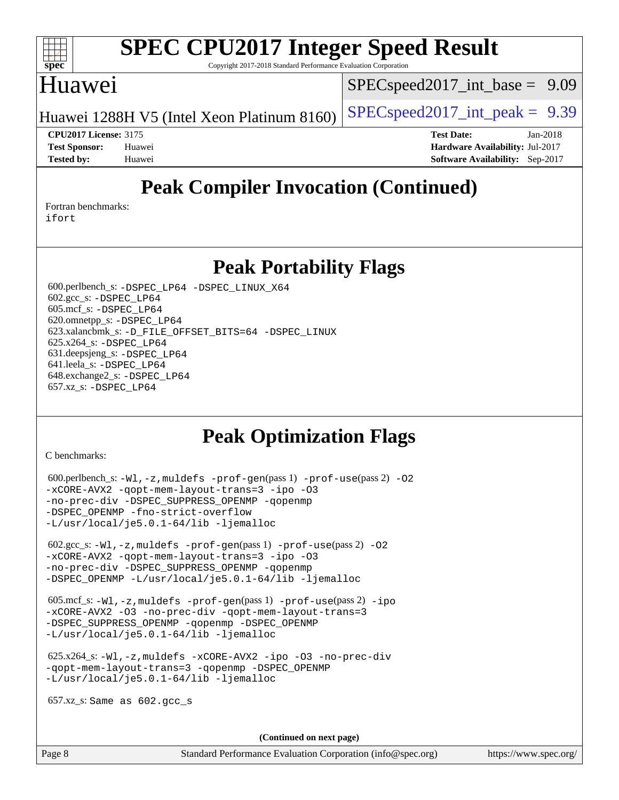

Copyright 2017-2018 Standard Performance Evaluation Corporation

### Huawei

 $SPECspeed2017\_int\_base = 9.09$ 

Huawei 1288H V5 (Intel Xeon Platinum 8160)  $\left|$  [SPECspeed2017\\_int\\_peak =](http://www.spec.org/auto/cpu2017/Docs/result-fields.html#SPECspeed2017intpeak) 9.39

**[CPU2017 License:](http://www.spec.org/auto/cpu2017/Docs/result-fields.html#CPU2017License)** 3175 **[Test Date:](http://www.spec.org/auto/cpu2017/Docs/result-fields.html#TestDate)** Jan-2018 **[Test Sponsor:](http://www.spec.org/auto/cpu2017/Docs/result-fields.html#TestSponsor)** Huawei **[Hardware Availability:](http://www.spec.org/auto/cpu2017/Docs/result-fields.html#HardwareAvailability)** Jul-2017 **[Tested by:](http://www.spec.org/auto/cpu2017/Docs/result-fields.html#Testedby)** Huawei **[Software Availability:](http://www.spec.org/auto/cpu2017/Docs/result-fields.html#SoftwareAvailability)** Sep-2017

# **[Peak Compiler Invocation \(Continued\)](http://www.spec.org/auto/cpu2017/Docs/result-fields.html#PeakCompilerInvocation)**

[Fortran benchmarks](http://www.spec.org/auto/cpu2017/Docs/result-fields.html#Fortranbenchmarks): [ifort](http://www.spec.org/cpu2017/results/res2018q1/cpu2017-20180108-02496.flags.html#user_FCpeak_intel_ifort_18.0_8111460550e3ca792625aed983ce982f94888b8b503583aa7ba2b8303487b4d8a21a13e7191a45c5fd58ff318f48f9492884d4413fa793fd88dd292cad7027ca)

**[Peak Portability Flags](http://www.spec.org/auto/cpu2017/Docs/result-fields.html#PeakPortabilityFlags)**

 600.perlbench\_s: [-DSPEC\\_LP64](http://www.spec.org/cpu2017/results/res2018q1/cpu2017-20180108-02496.flags.html#b600.perlbench_s_peakPORTABILITY_DSPEC_LP64) [-DSPEC\\_LINUX\\_X64](http://www.spec.org/cpu2017/results/res2018q1/cpu2017-20180108-02496.flags.html#b600.perlbench_s_peakCPORTABILITY_DSPEC_LINUX_X64) 602.gcc\_s: [-DSPEC\\_LP64](http://www.spec.org/cpu2017/results/res2018q1/cpu2017-20180108-02496.flags.html#suite_peakPORTABILITY602_gcc_s_DSPEC_LP64) 605.mcf\_s: [-DSPEC\\_LP64](http://www.spec.org/cpu2017/results/res2018q1/cpu2017-20180108-02496.flags.html#suite_peakPORTABILITY605_mcf_s_DSPEC_LP64) 620.omnetpp\_s: [-DSPEC\\_LP64](http://www.spec.org/cpu2017/results/res2018q1/cpu2017-20180108-02496.flags.html#suite_peakPORTABILITY620_omnetpp_s_DSPEC_LP64) 623.xalancbmk\_s: [-D\\_FILE\\_OFFSET\\_BITS=64](http://www.spec.org/cpu2017/results/res2018q1/cpu2017-20180108-02496.flags.html#user_peakPORTABILITY623_xalancbmk_s_file_offset_bits_64_5ae949a99b284ddf4e95728d47cb0843d81b2eb0e18bdfe74bbf0f61d0b064f4bda2f10ea5eb90e1dcab0e84dbc592acfc5018bc955c18609f94ddb8d550002c) [-DSPEC\\_LINUX](http://www.spec.org/cpu2017/results/res2018q1/cpu2017-20180108-02496.flags.html#b623.xalancbmk_s_peakCXXPORTABILITY_DSPEC_LINUX) 625.x264\_s: [-DSPEC\\_LP64](http://www.spec.org/cpu2017/results/res2018q1/cpu2017-20180108-02496.flags.html#suite_peakPORTABILITY625_x264_s_DSPEC_LP64) 631.deepsjeng\_s: [-DSPEC\\_LP64](http://www.spec.org/cpu2017/results/res2018q1/cpu2017-20180108-02496.flags.html#suite_peakPORTABILITY631_deepsjeng_s_DSPEC_LP64) 641.leela\_s: [-DSPEC\\_LP64](http://www.spec.org/cpu2017/results/res2018q1/cpu2017-20180108-02496.flags.html#suite_peakPORTABILITY641_leela_s_DSPEC_LP64) 648.exchange2\_s: [-DSPEC\\_LP64](http://www.spec.org/cpu2017/results/res2018q1/cpu2017-20180108-02496.flags.html#suite_peakPORTABILITY648_exchange2_s_DSPEC_LP64) 657.xz\_s: [-DSPEC\\_LP64](http://www.spec.org/cpu2017/results/res2018q1/cpu2017-20180108-02496.flags.html#suite_peakPORTABILITY657_xz_s_DSPEC_LP64)

## **[Peak Optimization Flags](http://www.spec.org/auto/cpu2017/Docs/result-fields.html#PeakOptimizationFlags)**

[C benchmarks](http://www.spec.org/auto/cpu2017/Docs/result-fields.html#Cbenchmarks):

```
(info@spec.org)https://www.spec.org/
 600.perlbench_s: -W1, -z, muldefs -prof-qen(pass 1)-prof-use(pass 2) -02
-xCORE-AVX2 -qopt-mem-layout-trans=3 -ipo -O3
-no-prec-div -DSPEC_SUPPRESS_OPENMP -qopenmp
-DSPEC_OPENMP -fno-strict-overflow
-L/usr/local/je5.0.1-64/lib -ljemalloc
  602.gcc_s: -Wl,-z,muldefs -prof-gen(pass 1) -prof-use(pass 2) -O2
-xCORE-AVX2 -qopt-mem-layout-trans=3 -ipo -O3
-no-prec-div -DSPEC_SUPPRESS_OPENMP -qopenmp
-DSPEC_OPENMP -L/usr/local/je5.0.1-64/lib -ljemalloc
  605.mcf_s: -Wl,-z,muldefs -prof-gen(pass 1) -prof-use(pass 2) -ipo
-xCORE-AVX2 -O3 -no-prec-div -qopt-mem-layout-trans=3
-DSPEC_SUPPRESS_OPENMP -qopenmp -DSPEC_OPENMP
-L/usr/local/je5.0.1-64/lib -ljemalloc
  625.x264_s: -Wl,-z,muldefs -xCORE-AVX2 -ipo -O3 -no-prec-div
-qopt-mem-layout-trans=3 -qopenmp -DSPEC_OPENMP
-L/usr/local/je5.0.1-64/lib -ljemalloc
  657.xz_s: Same as 602.gcc_s
                                    (Continued on next page)
```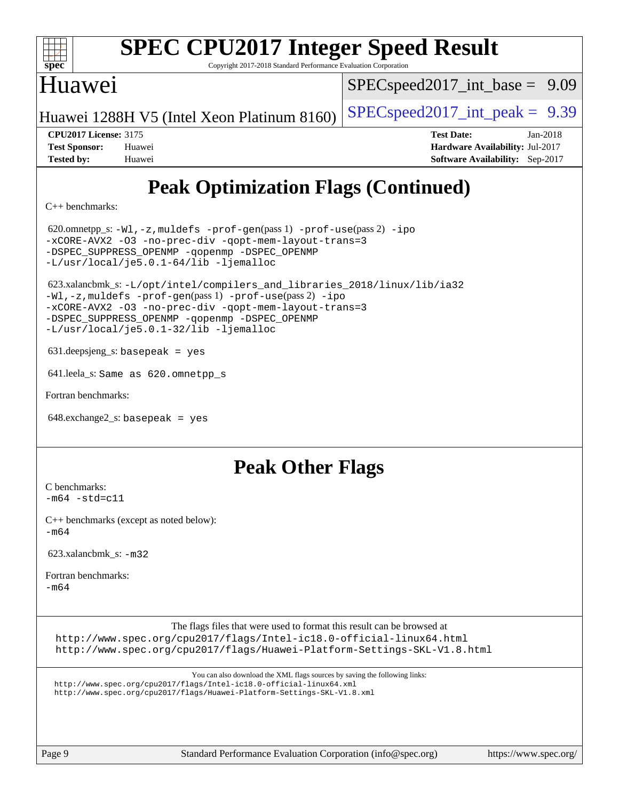

Copyright 2017-2018 Standard Performance Evaluation Corporation

## Huawei

 $SPECspeed2017\_int\_base = 9.09$ 

Huawei 1288H V5 (Intel Xeon Platinum 8160) [SPECspeed2017\\_int\\_peak =](http://www.spec.org/auto/cpu2017/Docs/result-fields.html#SPECspeed2017intpeak)  $9.39$ 

| <b>CPU2017 License: 3175</b> |        |
|------------------------------|--------|
| <b>Test Sponsor:</b>         | Huawei |

**[CPU2017 License:](http://www.spec.org/auto/cpu2017/Docs/result-fields.html#CPU2017License)** 3175 **[Test Date:](http://www.spec.org/auto/cpu2017/Docs/result-fields.html#TestDate)** Jan-2018 **[Hardware Availability:](http://www.spec.org/auto/cpu2017/Docs/result-fields.html#HardwareAvailability) Jul-2017 [Tested by:](http://www.spec.org/auto/cpu2017/Docs/result-fields.html#Testedby)** Huawei **[Software Availability:](http://www.spec.org/auto/cpu2017/Docs/result-fields.html#SoftwareAvailability)** Sep-2017

# **[Peak Optimization Flags \(Continued\)](http://www.spec.org/auto/cpu2017/Docs/result-fields.html#PeakOptimizationFlags)**

[C++ benchmarks:](http://www.spec.org/auto/cpu2017/Docs/result-fields.html#CXXbenchmarks)

620.omnetpp\_s: $-W1$ ,-z,muldefs -prof-qen(pass 1) [-prof-use](http://www.spec.org/cpu2017/results/res2018q1/cpu2017-20180108-02496.flags.html#user_peakPASS2_CXXFLAGSPASS2_LDFLAGS620_omnetpp_s_prof_use_1a21ceae95f36a2b53c25747139a6c16ca95bd9def2a207b4f0849963b97e94f5260e30a0c64f4bb623698870e679ca08317ef8150905d41bd88c6f78df73f19)(pass 2) [-ipo](http://www.spec.org/cpu2017/results/res2018q1/cpu2017-20180108-02496.flags.html#user_peakPASS1_CXXOPTIMIZEPASS2_CXXOPTIMIZE620_omnetpp_s_f-ipo) [-xCORE-AVX2](http://www.spec.org/cpu2017/results/res2018q1/cpu2017-20180108-02496.flags.html#user_peakPASS2_CXXOPTIMIZE620_omnetpp_s_f-xCORE-AVX2) [-O3](http://www.spec.org/cpu2017/results/res2018q1/cpu2017-20180108-02496.flags.html#user_peakPASS1_CXXOPTIMIZEPASS2_CXXOPTIMIZE620_omnetpp_s_f-O3) [-no-prec-div](http://www.spec.org/cpu2017/results/res2018q1/cpu2017-20180108-02496.flags.html#user_peakPASS1_CXXOPTIMIZEPASS2_CXXOPTIMIZE620_omnetpp_s_f-no-prec-div) [-qopt-mem-layout-trans=3](http://www.spec.org/cpu2017/results/res2018q1/cpu2017-20180108-02496.flags.html#user_peakPASS1_CXXOPTIMIZEPASS2_CXXOPTIMIZE620_omnetpp_s_f-qopt-mem-layout-trans_de80db37974c74b1f0e20d883f0b675c88c3b01e9d123adea9b28688d64333345fb62bc4a798493513fdb68f60282f9a726aa07f478b2f7113531aecce732043) [-DSPEC\\_SUPPRESS\\_OPENMP](http://www.spec.org/cpu2017/results/res2018q1/cpu2017-20180108-02496.flags.html#suite_peakPASS1_CXXOPTIMIZE620_omnetpp_s_DSPEC_SUPPRESS_OPENMP) [-qopenmp](http://www.spec.org/cpu2017/results/res2018q1/cpu2017-20180108-02496.flags.html#user_peakPASS2_CXXOPTIMIZE620_omnetpp_s_qopenmp_16be0c44f24f464004c6784a7acb94aca937f053568ce72f94b139a11c7c168634a55f6653758ddd83bcf7b8463e8028bb0b48b77bcddc6b78d5d95bb1df2967) [-DSPEC\\_OPENMP](http://www.spec.org/cpu2017/results/res2018q1/cpu2017-20180108-02496.flags.html#suite_peakPASS2_CXXOPTIMIZE620_omnetpp_s_DSPEC_OPENMP) [-L/usr/local/je5.0.1-64/lib](http://www.spec.org/cpu2017/results/res2018q1/cpu2017-20180108-02496.flags.html#user_peakEXTRA_LIBS620_omnetpp_s_jemalloc_link_path64_4b10a636b7bce113509b17f3bd0d6226c5fb2346b9178c2d0232c14f04ab830f976640479e5c33dc2bcbbdad86ecfb6634cbbd4418746f06f368b512fced5394) [-ljemalloc](http://www.spec.org/cpu2017/results/res2018q1/cpu2017-20180108-02496.flags.html#user_peakEXTRA_LIBS620_omnetpp_s_jemalloc_link_lib_d1249b907c500fa1c0672f44f562e3d0f79738ae9e3c4a9c376d49f265a04b9c99b167ecedbf6711b3085be911c67ff61f150a17b3472be731631ba4d0471706) 623.xalancbmk\_s: [-L/opt/intel/compilers\\_and\\_libraries\\_2018/linux/lib/ia32](http://www.spec.org/cpu2017/results/res2018q1/cpu2017-20180108-02496.flags.html#user_peakCXXLD623_xalancbmk_s_Enable-32bit-runtime_af243bdb1d79e4c7a4f720bf8275e627de2ecd461de63307bc14cef0633fde3cd7bb2facb32dcc8be9566045fb55d40ce2b72b725f73827aa7833441b71b9343) [-Wl,-z,muldefs](http://www.spec.org/cpu2017/results/res2018q1/cpu2017-20180108-02496.flags.html#user_peakEXTRA_LDFLAGS623_xalancbmk_s_link_force_multiple1_b4cbdb97b34bdee9ceefcfe54f4c8ea74255f0b02a4b23e853cdb0e18eb4525ac79b5a88067c842dd0ee6996c24547a27a4b99331201badda8798ef8a743f577) [-prof-gen](http://www.spec.org/cpu2017/results/res2018q1/cpu2017-20180108-02496.flags.html#user_peakPASS1_CXXFLAGSPASS1_LDFLAGS623_xalancbmk_s_prof_gen_5aa4926d6013ddb2a31985c654b3eb18169fc0c6952a63635c234f711e6e63dd76e94ad52365559451ec499a2cdb89e4dc58ba4c67ef54ca681ffbe1461d6b36)(pass 1) [-prof-use](http://www.spec.org/cpu2017/results/res2018q1/cpu2017-20180108-02496.flags.html#user_peakPASS2_CXXFLAGSPASS2_LDFLAGS623_xalancbmk_s_prof_use_1a21ceae95f36a2b53c25747139a6c16ca95bd9def2a207b4f0849963b97e94f5260e30a0c64f4bb623698870e679ca08317ef8150905d41bd88c6f78df73f19)(pass 2) [-ipo](http://www.spec.org/cpu2017/results/res2018q1/cpu2017-20180108-02496.flags.html#user_peakPASS1_CXXOPTIMIZEPASS2_CXXOPTIMIZE623_xalancbmk_s_f-ipo) [-xCORE-AVX2](http://www.spec.org/cpu2017/results/res2018q1/cpu2017-20180108-02496.flags.html#user_peakPASS2_CXXOPTIMIZE623_xalancbmk_s_f-xCORE-AVX2) [-O3](http://www.spec.org/cpu2017/results/res2018q1/cpu2017-20180108-02496.flags.html#user_peakPASS1_CXXOPTIMIZEPASS2_CXXOPTIMIZE623_xalancbmk_s_f-O3) [-no-prec-div](http://www.spec.org/cpu2017/results/res2018q1/cpu2017-20180108-02496.flags.html#user_peakPASS1_CXXOPTIMIZEPASS2_CXXOPTIMIZE623_xalancbmk_s_f-no-prec-div) [-qopt-mem-layout-trans=3](http://www.spec.org/cpu2017/results/res2018q1/cpu2017-20180108-02496.flags.html#user_peakPASS1_CXXOPTIMIZEPASS2_CXXOPTIMIZE623_xalancbmk_s_f-qopt-mem-layout-trans_de80db37974c74b1f0e20d883f0b675c88c3b01e9d123adea9b28688d64333345fb62bc4a798493513fdb68f60282f9a726aa07f478b2f7113531aecce732043) [-DSPEC\\_SUPPRESS\\_OPENMP](http://www.spec.org/cpu2017/results/res2018q1/cpu2017-20180108-02496.flags.html#suite_peakPASS1_CXXOPTIMIZE623_xalancbmk_s_DSPEC_SUPPRESS_OPENMP) [-qopenmp](http://www.spec.org/cpu2017/results/res2018q1/cpu2017-20180108-02496.flags.html#user_peakPASS2_CXXOPTIMIZE623_xalancbmk_s_qopenmp_16be0c44f24f464004c6784a7acb94aca937f053568ce72f94b139a11c7c168634a55f6653758ddd83bcf7b8463e8028bb0b48b77bcddc6b78d5d95bb1df2967) [-DSPEC\\_OPENMP](http://www.spec.org/cpu2017/results/res2018q1/cpu2017-20180108-02496.flags.html#suite_peakPASS2_CXXOPTIMIZE623_xalancbmk_s_DSPEC_OPENMP) [-L/usr/local/je5.0.1-32/lib](http://www.spec.org/cpu2017/results/res2018q1/cpu2017-20180108-02496.flags.html#user_peakEXTRA_LIBS623_xalancbmk_s_jemalloc_link_path32_e29f22e8e6c17053bbc6a0971f5a9c01a601a06bb1a59df2084b77a2fe0a2995b64fd4256feaeea39eeba3aae142e96e2b2b0a28974019c0c0c88139a84f900a) [-ljemalloc](http://www.spec.org/cpu2017/results/res2018q1/cpu2017-20180108-02496.flags.html#user_peakEXTRA_LIBS623_xalancbmk_s_jemalloc_link_lib_d1249b907c500fa1c0672f44f562e3d0f79738ae9e3c4a9c376d49f265a04b9c99b167ecedbf6711b3085be911c67ff61f150a17b3472be731631ba4d0471706) 631.deepsjeng\_s: basepeak = yes 641.leela\_s: Same as 620.omnetpp\_s [Fortran benchmarks](http://www.spec.org/auto/cpu2017/Docs/result-fields.html#Fortranbenchmarks):  $648$ .exchange2 s: basepeak = yes

### **[Peak Other Flags](http://www.spec.org/auto/cpu2017/Docs/result-fields.html#PeakOtherFlags)**

[C benchmarks](http://www.spec.org/auto/cpu2017/Docs/result-fields.html#Cbenchmarks):  $-m64 - std = c11$  $-m64 - std = c11$ 

[C++ benchmarks \(except as noted below\):](http://www.spec.org/auto/cpu2017/Docs/result-fields.html#CXXbenchmarksexceptasnotedbelow) [-m64](http://www.spec.org/cpu2017/results/res2018q1/cpu2017-20180108-02496.flags.html#user_CXXpeak_intel_intel64_18.0_af43caccfc8ded86e7699f2159af6efc7655f51387b94da716254467f3c01020a5059329e2569e4053f409e7c9202a7efc638f7a6d1ffb3f52dea4a3e31d82ab)

623.xalancbmk\_s: [-m32](http://www.spec.org/cpu2017/results/res2018q1/cpu2017-20180108-02496.flags.html#user_peakCXXLD623_xalancbmk_s_intel_ia32_18.0_2666f1173eb60787016b673bfe1358e27016ef7649ea4884b7bc6187fd89dc221d14632e22638cde1c647a518de97358ab15d4ad098ee4e19a8b28d0c25e14bf)

[Fortran benchmarks](http://www.spec.org/auto/cpu2017/Docs/result-fields.html#Fortranbenchmarks):

 $-m64$ 

The flags files that were used to format this result can be browsed at

<http://www.spec.org/cpu2017/flags/Intel-ic18.0-official-linux64.html> <http://www.spec.org/cpu2017/flags/Huawei-Platform-Settings-SKL-V1.8.html>

You can also download the XML flags sources by saving the following links:

<http://www.spec.org/cpu2017/flags/Intel-ic18.0-official-linux64.xml>

<http://www.spec.org/cpu2017/flags/Huawei-Platform-Settings-SKL-V1.8.xml>